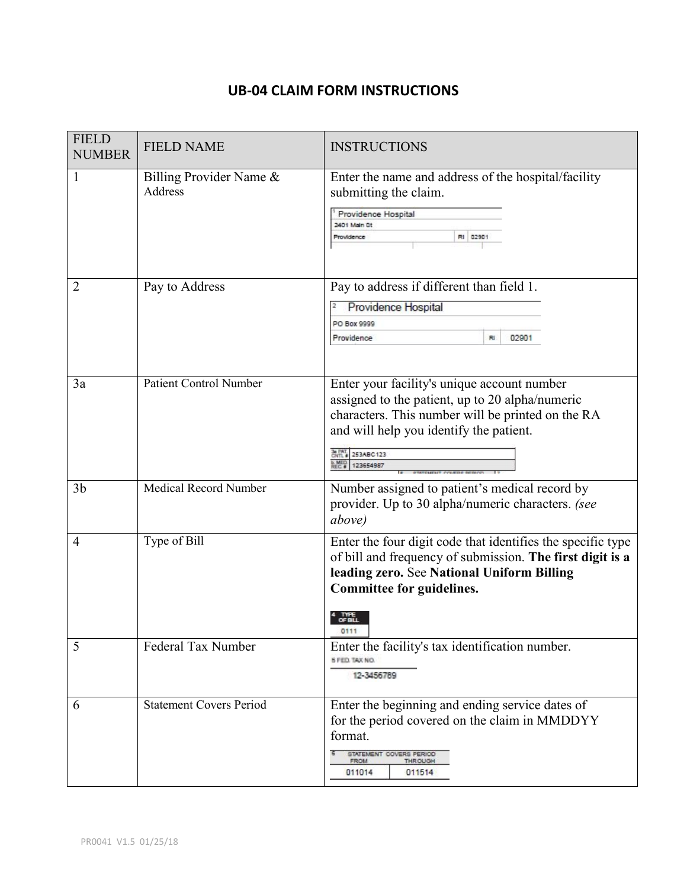## **UB-04 CLAIM FORM INSTRUCTIONS**

| <b>FIELD</b><br><b>NUMBER</b> | <b>FIELD NAME</b>                  | <b>INSTRUCTIONS</b>                                                                                                                                                                                                             |
|-------------------------------|------------------------------------|---------------------------------------------------------------------------------------------------------------------------------------------------------------------------------------------------------------------------------|
| 1                             | Billing Provider Name &<br>Address | Enter the name and address of the hospital/facility<br>submitting the claim.<br>Providence Hospital<br>2401 Main St<br>RI 02901<br>Providence                                                                                   |
| 2                             | Pay to Address                     | Pay to address if different than field 1.<br>Providence Hospital<br>2<br>PO Box 9999<br>02901<br>Providence<br>Rï                                                                                                               |
| 3a                            | <b>Patient Control Number</b>      | Enter your facility's unique account number<br>assigned to the patient, up to 20 alpha/numeric<br>characters. This number will be printed on the RA<br>and will help you identify the patient.<br>CWIL # 253ABC123<br>123654987 |
| 3 <sub>b</sub>                | <b>Medical Record Number</b>       | Number assigned to patient's medical record by<br>provider. Up to 30 alpha/numeric characters. (see<br>above)                                                                                                                   |
| $\overline{4}$                | Type of Bill                       | Enter the four digit code that identifies the specific type<br>of bill and frequency of submission. The first digit is a<br>leading zero. See National Uniform Billing<br>Committee for guidelines.<br>OF BILL<br>0111          |
| 5                             | Federal Tax Number                 | Enter the facility's tax identification number.<br>S FED. TAX NO.<br>12-3456789                                                                                                                                                 |
| 6                             | <b>Statement Covers Period</b>     | Enter the beginning and ending service dates of<br>for the period covered on the claim in MMDDYY<br>format.<br>STATEMENT COVERS PERIOD<br>THROUGH<br><b>FROM</b><br>011014<br>011514                                            |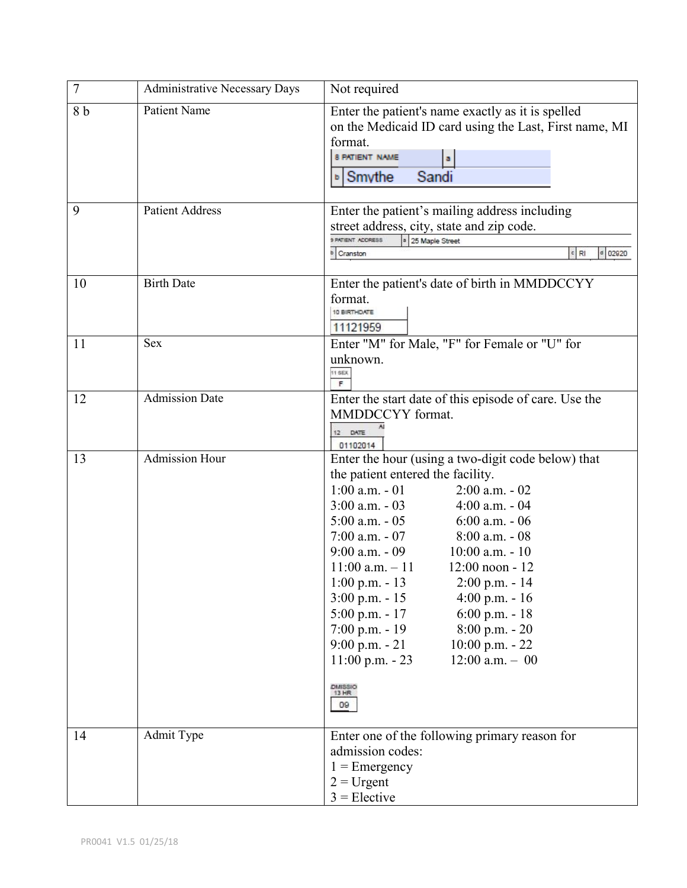| $\overline{7}$ | <b>Administrative Necessary Days</b> | Not required                                                                                                                                                                                                                                                                                                                                                                                                                                                                                                                                                                                                                                       |
|----------------|--------------------------------------|----------------------------------------------------------------------------------------------------------------------------------------------------------------------------------------------------------------------------------------------------------------------------------------------------------------------------------------------------------------------------------------------------------------------------------------------------------------------------------------------------------------------------------------------------------------------------------------------------------------------------------------------------|
| 8 b            | <b>Patient Name</b>                  | Enter the patient's name exactly as it is spelled<br>on the Medicaid ID card using the Last, First name, MI<br>format.<br>8 PATIENT NAME<br>Sandi<br>⊳ Smythe                                                                                                                                                                                                                                                                                                                                                                                                                                                                                      |
| 9              | <b>Patient Address</b>               | Enter the patient's mailing address including<br>street address, city, state and zip code.<br>9 PATIENT ADDRESS<br>a 25 Maple Street<br>$c$ RI<br>$d$ 02920<br>Cranston                                                                                                                                                                                                                                                                                                                                                                                                                                                                            |
| 10             | <b>Birth Date</b>                    | Enter the patient's date of birth in MMDDCCYY<br>format.<br>10 BIRTHDATE<br>11121959                                                                                                                                                                                                                                                                                                                                                                                                                                                                                                                                                               |
| 11             | <b>Sex</b>                           | Enter "M" for Male, "F" for Female or "U" for<br>unknown.<br>11 SEX<br>F                                                                                                                                                                                                                                                                                                                                                                                                                                                                                                                                                                           |
| 12             | <b>Admission Date</b>                | Enter the start date of this episode of care. Use the<br>MMDDCCYY format.<br>12 DATE<br>01102014                                                                                                                                                                                                                                                                                                                                                                                                                                                                                                                                                   |
| 13             | <b>Admission Hour</b>                | Enter the hour (using a two-digit code below) that<br>the patient entered the facility.<br>$1:00$ a.m. $-01$<br>$2:00$ a.m. $-02$<br>$3:00$ a.m. $-03$<br>$4:00$ a.m. $-04$<br>$5:00$ a.m. $-05$<br>$6:00$ a.m. $-06$<br>$7:00$ a.m. $-07$<br>$8:00$ a.m. $-08$<br>$9:00$ a.m. $-09$<br>$10:00$ a.m. $-10$<br>$11:00$ a.m. $-11$<br>$12:00$ noon - $12$<br>$1:00$ p.m. - 13<br>$2:00$ p.m. $-14$<br>$3:00$ p.m. $-15$<br>$4:00 \text{ p.m.} - 16$<br>$5:00$ p.m. - 17<br>$6:00$ p.m. - 18<br>$7:00$ p.m. - 19<br>$8:00$ p.m. $-20$<br>$9:00$ p.m. $-21$<br>$10:00$ p.m. $-22$<br>$11:00 p.m. - 23$<br>$12:00$ a.m. $-00$<br>DMISSIO<br>13 HR<br>09 |
| 14             | Admit Type                           | Enter one of the following primary reason for<br>admission codes:<br>$1 =$ Emergency<br>$2 =$ Urgent<br>$3 =$ Elective                                                                                                                                                                                                                                                                                                                                                                                                                                                                                                                             |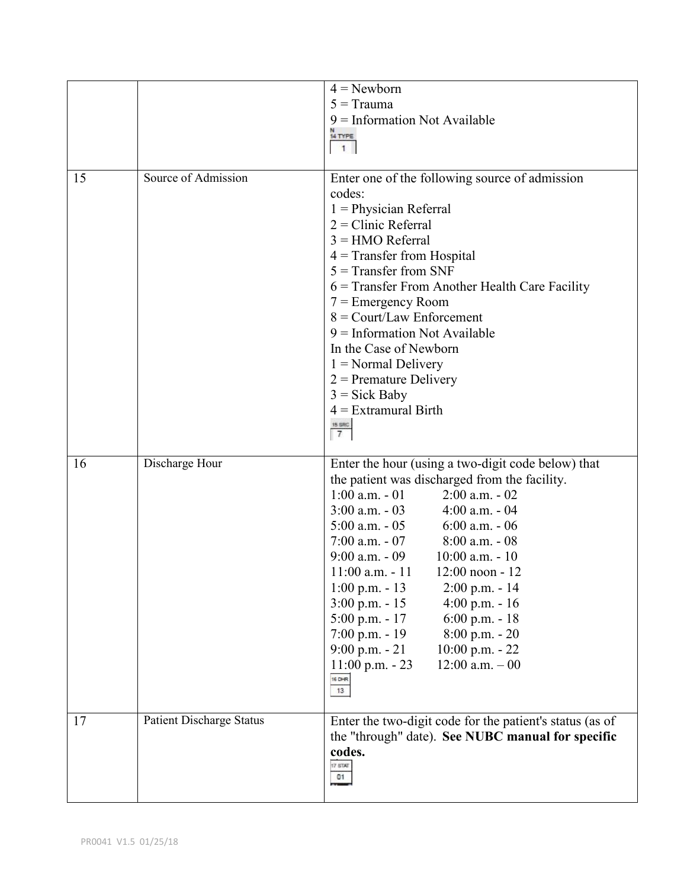|    |                                 | $4 =$ Newborn                                                                |
|----|---------------------------------|------------------------------------------------------------------------------|
|    |                                 | $5 = Trauma$                                                                 |
|    |                                 | $9$ = Information Not Available                                              |
|    |                                 | 14 TYPE                                                                      |
|    |                                 | $\mathbf{1}$                                                                 |
|    |                                 |                                                                              |
| 15 | Source of Admission             | Enter one of the following source of admission<br>codes:                     |
|    |                                 | $1$ = Physician Referral<br>$2 =$ Clinic Referral                            |
|    |                                 | $3 = HMO$ Referral                                                           |
|    |                                 | $4$ = Transfer from Hospital                                                 |
|    |                                 | $5 =$ Transfer from SNF                                                      |
|    |                                 | 6 = Transfer From Another Health Care Facility                               |
|    |                                 | $7 =$ Emergency Room<br>$8 =$ Court/Law Enforcement                          |
|    |                                 | $9$ = Information Not Available                                              |
|    |                                 | In the Case of Newborn                                                       |
|    |                                 | $1 = Normal$ Delivery                                                        |
|    |                                 | $2$ = Premature Delivery                                                     |
|    |                                 | $3 = Sick$ Baby                                                              |
|    |                                 | $4$ = Extramural Birth                                                       |
|    |                                 | 15 SRC<br>$\overline{7}$                                                     |
|    |                                 |                                                                              |
| 16 | Discharge Hour                  | Enter the hour (using a two-digit code below) that                           |
|    |                                 | the patient was discharged from the facility.                                |
|    |                                 | $1:00$ a.m. $-01$<br>$2:00$ a.m. $-02$                                       |
|    |                                 | $3:00$ a.m. $-03$<br>$4:00$ a.m. $-04$                                       |
|    |                                 | $5:00$ a.m. $-05$<br>$6:00$ a.m. $-06$                                       |
|    |                                 |                                                                              |
|    |                                 | $7:00$ a.m. $-07$ 8:00 a.m. $-08$                                            |
|    |                                 | 9:00 a.m. - 09 $10:00$ a.m. - 10                                             |
|    |                                 | $11:00$ a.m. $-11$<br>$12:00$ noon - $12$                                    |
|    |                                 | $1:00$ p.m. - 13<br>$2:00$ p.m. $-14$                                        |
|    |                                 | $3:00$ p.m. - 15<br>$4:00$ p.m. - 16<br>$5:00$ p.m. - 17<br>$6:00$ p.m. - 18 |
|    |                                 | $7:00$ p.m. - 19<br>$8:00$ p.m. - $20$                                       |
|    |                                 | $9:00$ p.m. $-21$<br>10:00 p.m. - 22                                         |
|    |                                 | $12:00$ a.m. $-00$<br>$11:00$ p.m. $-23$                                     |
|    |                                 | 16 DHR<br>13                                                                 |
|    |                                 |                                                                              |
| 17 | <b>Patient Discharge Status</b> | Enter the two-digit code for the patient's status (as of                     |
|    |                                 | the "through" date). See NUBC manual for specific                            |
|    |                                 | codes.                                                                       |
|    |                                 | 17 STAT<br>01                                                                |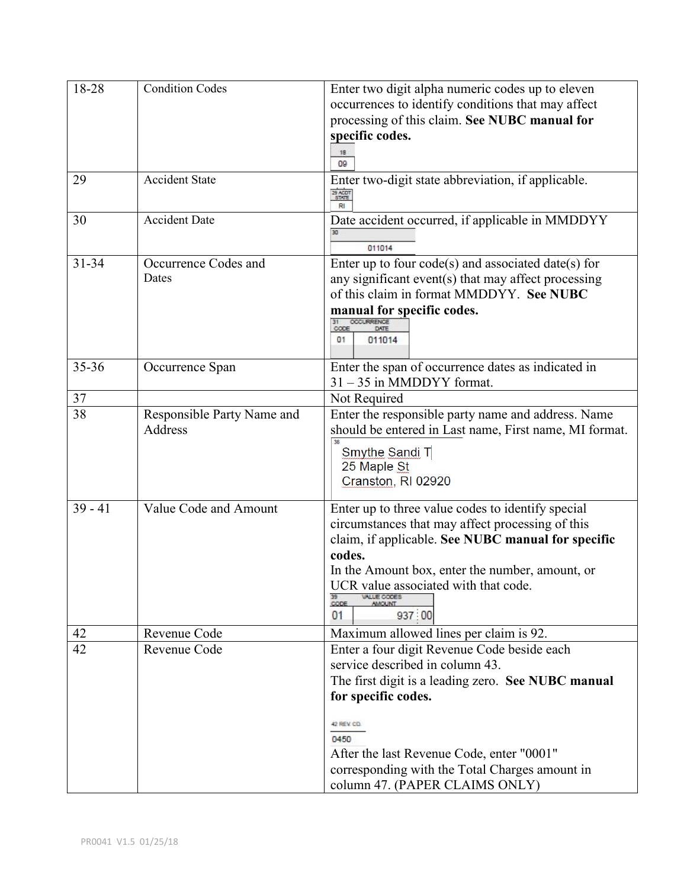| 18-28     | <b>Condition Codes</b>     | Enter two digit alpha numeric codes up to eleven                    |
|-----------|----------------------------|---------------------------------------------------------------------|
|           |                            |                                                                     |
|           |                            | occurrences to identify conditions that may affect                  |
|           |                            | processing of this claim. See NUBC manual for                       |
|           |                            | specific codes.                                                     |
|           |                            | 18<br>09                                                            |
| 29        | <b>Accident State</b>      | Enter two-digit state abbreviation, if applicable.<br>29 ACDT<br>RI |
| 30        | <b>Accident Date</b>       | Date accident occurred, if applicable in MMDDYY<br>011014           |
| $31 - 34$ | Occurrence Codes and       | Enter up to four code(s) and associated date(s) for                 |
|           | Dates                      | any significant event(s) that may affect processing                 |
|           |                            | of this claim in format MMDDYY. See NUBC                            |
|           |                            | manual for specific codes.                                          |
|           |                            |                                                                     |
|           |                            | CODE<br>011014<br>01                                                |
| 35-36     | Occurrence Span            | Enter the span of occurrence dates as indicated in                  |
|           |                            | $31 - 35$ in MMDDYY format.                                         |
| 37        |                            | Not Required                                                        |
| 38        | Responsible Party Name and | Enter the responsible party name and address. Name                  |
|           | Address                    | should be entered in Last name, First name, MI format.              |
|           |                            |                                                                     |
|           |                            | Smythe Sandi T                                                      |
|           |                            | 25 Maple St                                                         |
|           |                            | Cranston, RI 02920                                                  |
| $39 - 41$ | Value Code and Amount      | Enter up to three value codes to identify special                   |
|           |                            | circumstances that may affect processing of this                    |
|           |                            | claim, if applicable. See NUBC manual for specific                  |
|           |                            | codes.                                                              |
|           |                            | In the Amount box, enter the number, amount, or                     |
|           |                            | UCR value associated with that code.                                |
|           |                            | WALUE CODES                                                         |
|           |                            | CODE<br>937 00<br>01                                                |
| 42        | Revenue Code               | Maximum allowed lines per claim is 92.                              |
| 42        | Revenue Code               | Enter a four digit Revenue Code beside each                         |
|           |                            | service described in column 43.                                     |
|           |                            | The first digit is a leading zero. See NUBC manual                  |
|           |                            |                                                                     |
|           |                            | for specific codes.                                                 |
|           |                            | 42 REV CD                                                           |
|           |                            | 0450                                                                |
|           |                            | After the last Revenue Code, enter "0001"                           |
|           |                            | corresponding with the Total Charges amount in                      |
|           |                            | column 47. (PAPER CLAIMS ONLY)                                      |
|           |                            |                                                                     |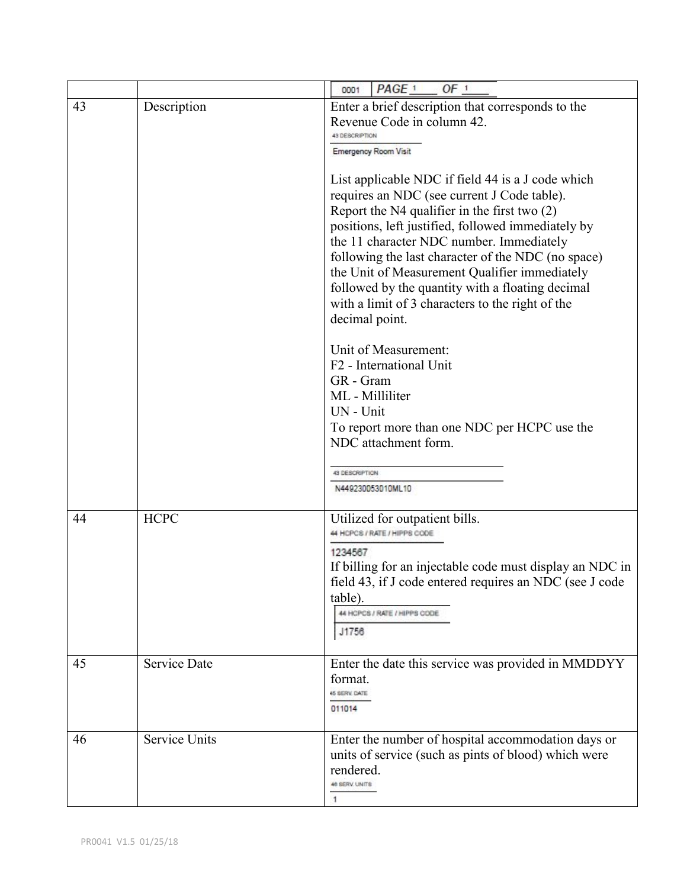|          |                                    | PAGE <sup>1</sup><br>OF <sub>1</sub><br>0001                                                                                                                                                                                                                                                                                                                                                                                                                                                                                                                                                                                                                                                                                                                                                                                                           |
|----------|------------------------------------|--------------------------------------------------------------------------------------------------------------------------------------------------------------------------------------------------------------------------------------------------------------------------------------------------------------------------------------------------------------------------------------------------------------------------------------------------------------------------------------------------------------------------------------------------------------------------------------------------------------------------------------------------------------------------------------------------------------------------------------------------------------------------------------------------------------------------------------------------------|
| 43       | Description                        | Enter a brief description that corresponds to the<br>Revenue Code in column 42.<br>43 DESCRIPTION<br><b>Emergency Room Visit</b><br>List applicable NDC if field 44 is a J code which<br>requires an NDC (see current J Code table).<br>Report the $N4$ qualifier in the first two $(2)$<br>positions, left justified, followed immediately by<br>the 11 character NDC number. Immediately<br>following the last character of the NDC (no space)<br>the Unit of Measurement Qualifier immediately<br>followed by the quantity with a floating decimal<br>with a limit of 3 characters to the right of the<br>decimal point.<br>Unit of Measurement:<br>F <sub>2</sub> - International Unit<br>GR - Gram<br>ML - Milliliter<br>UN - Unit<br>To report more than one NDC per HCPC use the<br>NDC attachment form.<br>43 DESCRIPTION<br>N449230053010ML10 |
| 44<br>45 | <b>HCPC</b><br><b>Service Date</b> | Utilized for outpatient bills.<br>44 HCPCS / RATE / HIPPS CODE<br>1234567<br>If billing for an injectable code must display an NDC in<br>field 43, if J code entered requires an NDC (see J code<br>table).<br>44 HCPCS / RATE / HIPPS CODE<br>J1756<br>Enter the date this service was provided in MMDDYY<br>format.<br>45 SERV. DATE                                                                                                                                                                                                                                                                                                                                                                                                                                                                                                                 |
| 46       | <b>Service Units</b>               | 011014<br>Enter the number of hospital accommodation days or<br>units of service (such as pints of blood) which were<br>rendered.<br>48 SERV. UNITS<br>1                                                                                                                                                                                                                                                                                                                                                                                                                                                                                                                                                                                                                                                                                               |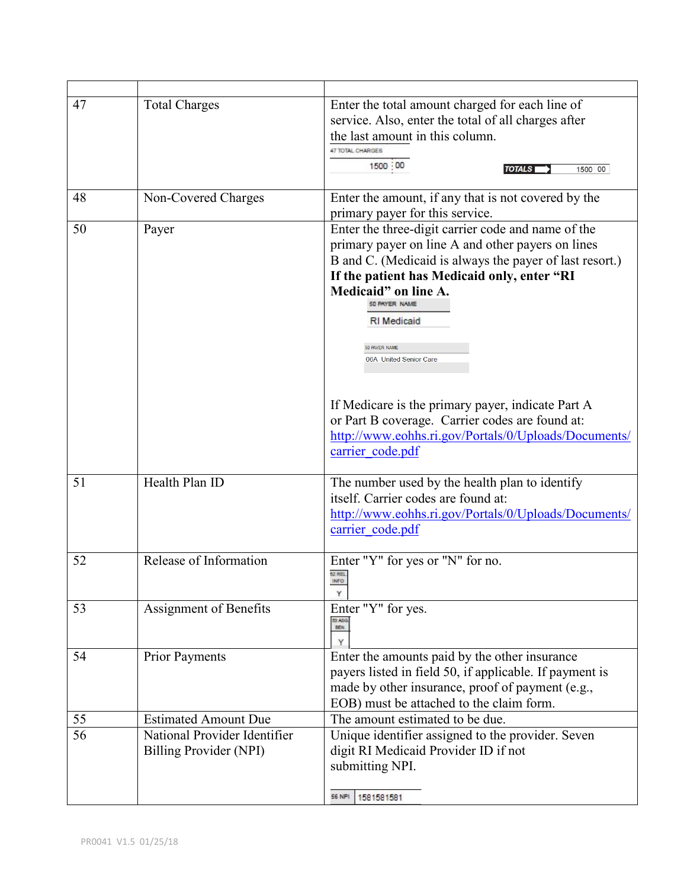| 47 | <b>Total Charges</b>                                   | Enter the total amount charged for each line of<br>service. Also, enter the total of all charges after<br>the last amount in this column.<br>47 TOTAL CHARGES<br>1500 00<br><b>TOTALS</b><br>1500 00                                                                                                                                                                             |
|----|--------------------------------------------------------|----------------------------------------------------------------------------------------------------------------------------------------------------------------------------------------------------------------------------------------------------------------------------------------------------------------------------------------------------------------------------------|
| 48 | Non-Covered Charges                                    | Enter the amount, if any that is not covered by the<br>primary payer for this service.                                                                                                                                                                                                                                                                                           |
| 50 | Payer                                                  | Enter the three-digit carrier code and name of the<br>primary payer on line A and other payers on lines<br>B and C. (Medicaid is always the payer of last resort.)<br>If the patient has Medicaid only, enter "RI<br>Medicaid" on line A.<br>SO PAYER NAME<br><b>RI</b> Medicaid<br>50 PAYER NAME<br>06A United Senior Care<br>If Medicare is the primary payer, indicate Part A |
|    |                                                        | or Part B coverage. Carrier codes are found at:<br>http://www.eohhs.ri.gov/Portals/0/Uploads/Documents/<br>carrier code.pdf                                                                                                                                                                                                                                                      |
| 51 | Health Plan ID                                         | The number used by the health plan to identify<br>itself. Carrier codes are found at:<br>http://www.eohhs.ri.gov/Portals/0/Uploads/Documents/<br>carrier code.pdf                                                                                                                                                                                                                |
| 52 | Release of Information                                 | Enter "Y" for yes or "N" for no.<br>52 REL<br>INFO<br>Y                                                                                                                                                                                                                                                                                                                          |
| 53 | Assignment of Benefits                                 | Enter "Y" for yes.<br>53 ASG.<br>1671.                                                                                                                                                                                                                                                                                                                                           |
| 54 | Prior Payments                                         | Enter the amounts paid by the other insurance<br>payers listed in field 50, if applicable. If payment is<br>made by other insurance, proof of payment (e.g.,<br>EOB) must be attached to the claim form.                                                                                                                                                                         |
| 55 | <b>Estimated Amount Due</b>                            | The amount estimated to be due.                                                                                                                                                                                                                                                                                                                                                  |
| 56 | National Provider Identifier<br>Billing Provider (NPI) | Unique identifier assigned to the provider. Seven<br>digit RI Medicaid Provider ID if not<br>submitting NPI.<br><b>56 NPI</b><br>1581581581                                                                                                                                                                                                                                      |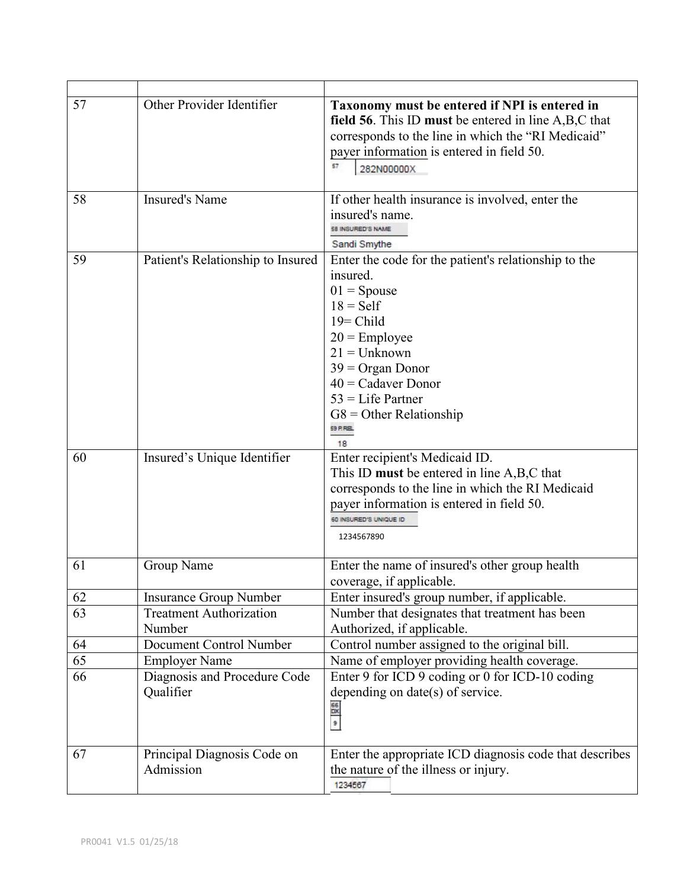| 57 | Other Provider Identifier                 | Taxonomy must be entered if NPI is entered in<br>field 56. This ID must be entered in line A,B,C that<br>corresponds to the line in which the "RI Medicaid"<br>payer information is entered in field 50.<br>57<br>282N00000X                                                      |
|----|-------------------------------------------|-----------------------------------------------------------------------------------------------------------------------------------------------------------------------------------------------------------------------------------------------------------------------------------|
| 58 | <b>Insured's Name</b>                     | If other health insurance is involved, enter the<br>insured's name.<br>58 INSURED'S NAME<br>Sandi Smythe                                                                                                                                                                          |
| 59 | Patient's Relationship to Insured         | Enter the code for the patient's relationship to the<br>insured.<br>$01 =$ Spouse<br>$18 = Self$<br>$19 =$ Child<br>$20$ = Employee<br>$21 =$ Unknown<br>$39 = \text{Organ Donor}$<br>$40$ = Cadaver Donor<br>$53$ = Life Partner<br>$G8 =$ Other Relationship<br>59 P.R.EL<br>18 |
| 60 | Insured's Unique Identifier               | Enter recipient's Medicaid ID.<br>This ID must be entered in line A,B,C that<br>corresponds to the line in which the RI Medicaid<br>payer information is entered in field 50.<br>50 INSURED'S UNIQUE ID<br>1234567890                                                             |
| 61 | Group Name                                | Enter the name of insured's other group health<br>coverage, if applicable.                                                                                                                                                                                                        |
| 62 | <b>Insurance Group Number</b>             | Enter insured's group number, if applicable.                                                                                                                                                                                                                                      |
| 63 | <b>Treatment Authorization</b><br>Number  | Number that designates that treatment has been<br>Authorized, if applicable.                                                                                                                                                                                                      |
| 64 | Document Control Number                   | Control number assigned to the original bill.                                                                                                                                                                                                                                     |
| 65 | <b>Employer Name</b>                      | Name of employer providing health coverage.                                                                                                                                                                                                                                       |
| 66 | Diagnosis and Procedure Code<br>Qualifier | Enter 9 for ICD 9 coding or 0 for ICD-10 coding<br>depending on date(s) of service.<br>98 on                                                                                                                                                                                      |
| 67 | Principal Diagnosis Code on<br>Admission  | Enter the appropriate ICD diagnosis code that describes<br>the nature of the illness or injury.<br>1234567                                                                                                                                                                        |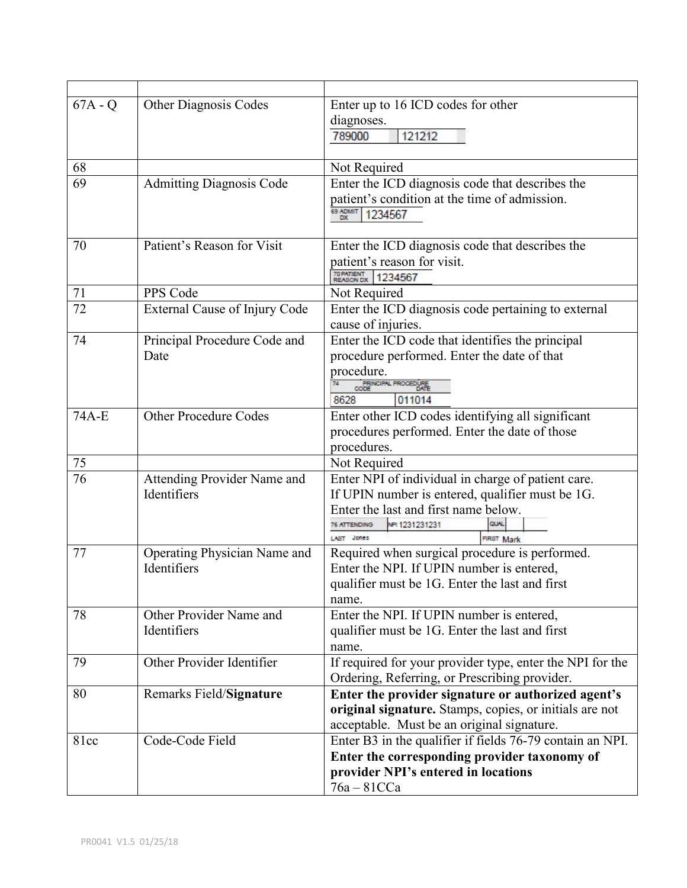| $67A - Q$ | <b>Other Diagnosis Codes</b>    | Enter up to 16 ICD codes for other                        |
|-----------|---------------------------------|-----------------------------------------------------------|
|           |                                 | diagnoses.                                                |
|           |                                 | 789000<br>121212                                          |
|           |                                 |                                                           |
| 68        |                                 | Not Required                                              |
| 69        | <b>Admitting Diagnosis Code</b> | Enter the ICD diagnosis code that describes the           |
|           |                                 | patient's condition at the time of admission.             |
|           |                                 | 69 ADMIT<br>1234567<br>DX.                                |
|           |                                 |                                                           |
| 70        | Patient's Reason for Visit      | Enter the ICD diagnosis code that describes the           |
|           |                                 | patient's reason for visit.                               |
|           |                                 | 70 PATIENT<br>REASON DX<br>1234567                        |
| 71        | PPS Code                        | Not Required                                              |
| 72        | External Cause of Injury Code   | Enter the ICD diagnosis code pertaining to external       |
|           |                                 | cause of injuries.                                        |
| 74        | Principal Procedure Code and    | Enter the ICD code that identifies the principal          |
|           | Date                            | procedure performed. Enter the date of that               |
|           |                                 | procedure.<br>PRINCIPAL PROCEDURE                         |
|           |                                 | 8628<br>011014                                            |
| 74A-E     | <b>Other Procedure Codes</b>    | Enter other ICD codes identifying all significant         |
|           |                                 | procedures performed. Enter the date of those             |
|           |                                 | procedures.                                               |
| 75        |                                 | Not Required                                              |
| 76        | Attending Provider Name and     | Enter NPI of individual in charge of patient care.        |
|           | Identifiers                     | If UPIN number is entered, qualifier must be 1G.          |
|           |                                 | Enter the last and first name below.                      |
|           |                                 | NPI 1231231231<br><b>6 ATTENDING</b>                      |
|           |                                 | LAST Jones<br>FIRST Mark                                  |
| 77        | Operating Physician Name and    | Required when surgical procedure is performed.            |
|           | Identifiers                     | Enter the NPI. If UPIN number is entered,                 |
|           |                                 | qualifier must be 1G. Enter the last and first            |
|           |                                 | name.                                                     |
| 78        | Other Provider Name and         | Enter the NPI. If UPIN number is entered,                 |
|           | Identifiers                     | qualifier must be 1G. Enter the last and first            |
|           |                                 | name.                                                     |
| 79        | Other Provider Identifier       | If required for your provider type, enter the NPI for the |
|           |                                 | Ordering, Referring, or Prescribing provider.             |
| 80        | Remarks Field/Signature         | Enter the provider signature or authorized agent's        |
|           |                                 | original signature. Stamps, copies, or initials are not   |
|           |                                 | acceptable. Must be an original signature.                |
| 81cc      | Code-Code Field                 | Enter B3 in the qualifier if fields 76-79 contain an NPI. |
|           |                                 | Enter the corresponding provider taxonomy of              |
|           |                                 | provider NPI's entered in locations                       |
|           |                                 | $76a - 81CCa$                                             |